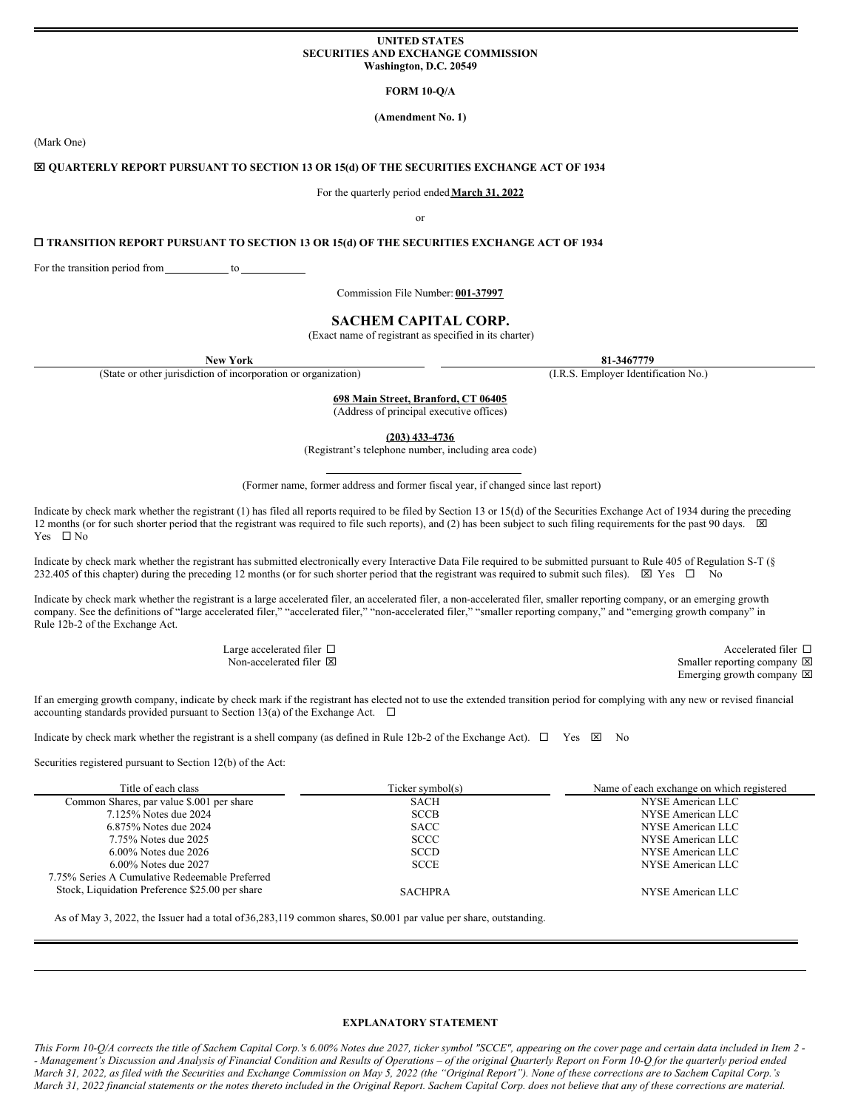## **UNITED STATES SECURITIES AND EXCHANGE COMMISSION Washington, D.C. 20549**

# **FORM 10-Q/A**

## **(Amendment No. 1)**

(Mark One)

# x **QUARTERLY REPORT PURSUANT TO SECTION 13 OR 15(d) OF THE SECURITIES EXCHANGE ACT OF 1934**

For the quarterly period ended**March 31, 2022**

or

## ¨ **TRANSITION REPORT PURSUANT TO SECTION 13 OR 15(d) OF THE SECURITIES EXCHANGE ACT OF 1934**

For the transition period from \_\_\_\_\_\_\_\_\_\_\_\_ to \_

Commission File Number: **001-37997**

# **SACHEM CAPITAL CORP.**

(Exact name of registrant as specified in its charter)

(State or other jurisdiction of incorporation or organization) (I.R.S. Employer Identification No.)

**New York 81-3467779**

**698 Main Street, Branford, CT 06405** (Address of principal executive offices)

**(203) 433-4736**

(Registrant's telephone number, including area code)

(Former name, former address and former fiscal year, if changed since last report)

Indicate by check mark whether the registrant (1) has filed all reports required to be filed by Section 13 or 15(d) of the Securities Exchange Act of 1934 during the preceding 12 months (or for such shorter period that the registrant was required to file such reports), and (2) has been subject to such filing requirements for the past 90 days.  $\boxtimes$ Yes  $\Box$  No

Indicate by check mark whether the registrant has submitted electronically every Interactive Data File required to be submitted pursuant to Rule 405 of Regulation S-T (§ 232.405 of this chapter) during the preceding 12 months (or for such shorter period that the registrant was required to submit such files).  $\boxtimes$  Yes  $\Box$  No

Indicate by check mark whether the registrant is a large accelerated filer, an accelerated filer, a non-accelerated filer, smaller reporting company, or an emerging growth company. See the definitions of "large accelerated filer," "accelerated filer," "non-accelerated filer," "smaller reporting company," and "emerging growth company" in Rule 12b-2 of the Exchange Act.

Large accelerated filer □ <br>Non-accelerated filer □ <br>Non-accelerated filer ⊠ Smaller reporting company ⊠ Smaller reporting company  $\boxtimes$ Emerging growth company  $[**X**]$ 

If an emerging growth company, indicate by check mark if the registrant has elected not to use the extended transition period for complying with any new or revised financial accounting standards provided pursuant to Section 13(a) of the Exchange Act.  $\Box$ 

Indicate by check mark whether the registrant is a shell company (as defined in Rule 12b-2 of the Exchange Act).  $\square$  Yes  $\square$  No

Securities registered pursuant to Section 12(b) of the Act:

| Title of each class                             | Ticker symbol(s) | Name of each exchange on which registered |
|-------------------------------------------------|------------------|-------------------------------------------|
| Common Shares, par value \$.001 per share       | SACH             | NYSE American LLC                         |
| 7.125% Notes due 2024                           | <b>SCCB</b>      | NYSE American LLC                         |
| 6.875% Notes due 2024                           | <b>SACC</b>      | NYSE American LLC                         |
| 7.75% Notes due 2025                            | <b>SCCC</b>      | NYSE American LLC                         |
| $6.00\%$ Notes due 2026                         | <b>SCCD</b>      | NYSE American LLC                         |
| 6.00% Notes due 2027                            | <b>SCCE</b>      | NYSE American LLC                         |
| 7.75% Series A Cumulative Redeemable Preferred  |                  |                                           |
| Stock, Liquidation Preference \$25.00 per share | <b>SACHPRA</b>   | NYSE American LLC                         |

As of May 3, 2022, the Issuer had a total of36,283,119 common shares, \$0.001 par value per share, outstanding.

# **EXPLANATORY STATEMENT**

This Form 10-Q/A corrects the title of Sachem Capital Corp.'s 6.00% Notes due 2027, ticker symbol "SCCE", appearing on the cover page and certain data included in Item 2 -- Management's Discussion and Analysis of Financial Condition and Results of Operations - of the original Quarterly Report on Form 10-Q for the quarterly period ended March 31, 2022, as filed with the Securities and Exchange Commission on May 5, 2022 (the "Original Report"). None of these corrections are to Sachem Capital Corp.'s March 31, 2022 financial statements or the notes thereto included in the Original Report. Sachem Capital Corp. does not believe that any of these corrections are material.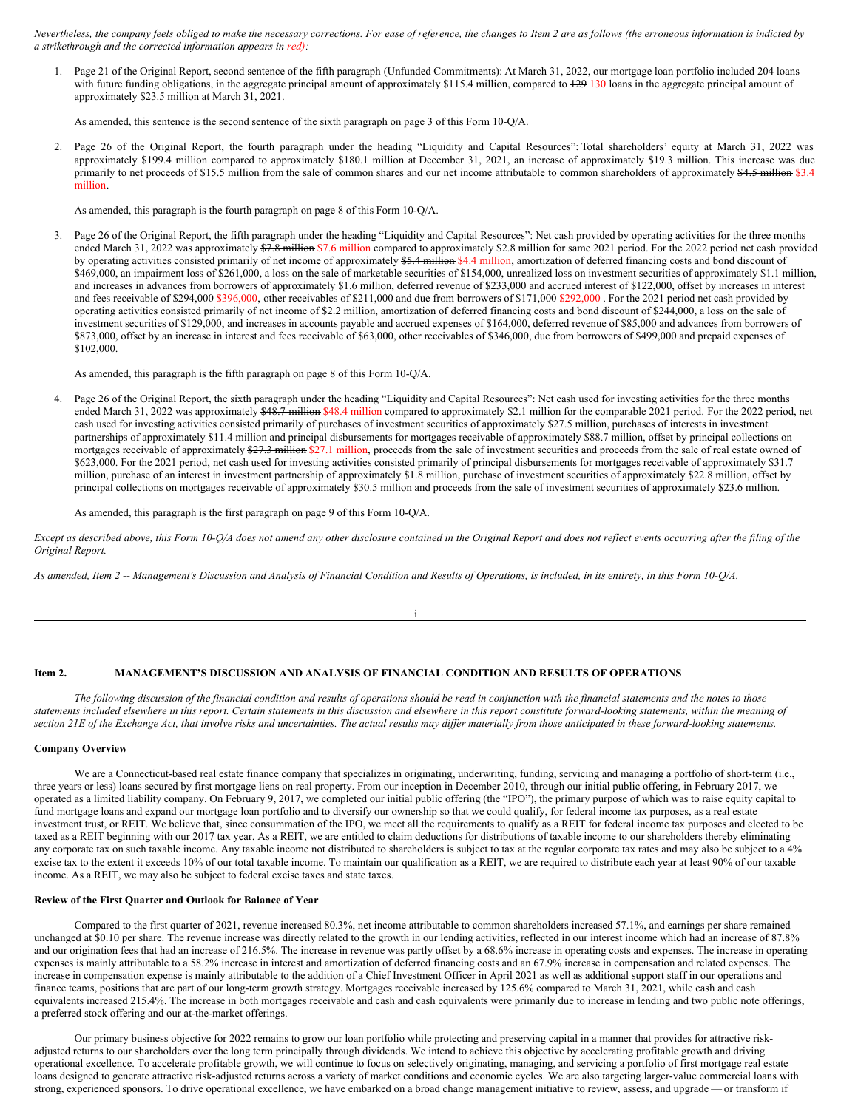Nevertheless, the company feels obliged to make the necessary corrections. For ease of reference, the changes to Item 2 are as follows (the erroneous information is indicted by *a strikethrough and the corrected information appears in red):*

1. Page 21 of the Original Report, second sentence of the fifth paragraph (Unfunded Commitments): At March 31, 2022, our mortgage loan portfolio included 204 loans with future funding obligations, in the aggregate principal amount of approximately \$115.4 million, compared to  $\frac{129}{130}$  loans in the aggregate principal amount of approximately \$23.5 million at March 31, 2021.

As amended, this sentence is the second sentence of the sixth paragraph on page 3 of this Form 10-Q/A.

2. Page 26 of the Original Report, the fourth paragraph under the heading "Liquidity and Capital Resources": Total shareholders' equity at March 31, 2022 was approximately \$199.4 million compared to approximately \$180.1 million at December 31, 2021, an increase of approximately \$19.3 million. This increase was due primarily to net proceeds of \$15.5 million from the sale of common shares and our net income attributable to common shareholders of approximately \$4.5 million \$3.4 million.

As amended, this paragraph is the fourth paragraph on page 8 of this Form 10-Q/A.

3. Page 26 of the Original Report, the fifth paragraph under the heading "Liquidity and Capital Resources": Net cash provided by operating activities for the three months ended March 31, 2022 was approximately \$7.8 million \$7.6 million compared to approximately \$2.8 million for same 2021 period. For the 2022 period net cash provided by operating activities consisted primarily of net income of approximately \$5.4 million \$4.4 million, amortization of deferred financing costs and bond discount of \$469,000, an impairment loss of \$261,000, a loss on the sale of marketable securities of \$154,000, unrealized loss on investment securities of approximately \$1.1 million, and increases in advances from borrowers of approximately \$1.6 million, deferred revenue of \$233,000 and accrued interest of \$122,000, offset by increases in interest and fees receivable of \$294,000 \$396,000, other receivables of \$211,000 and due from borrowers of \$171,000 \$292,000. For the 2021 period net cash provided by operating activities consisted primarily of net income of \$2.2 million, amortization of deferred financing costs and bond discount of \$244,000, a loss on the sale of investment securities of \$129,000, and increases in accounts payable and accrued expenses of \$164,000, deferred revenue of \$85,000 and advances from borrowers of \$873,000, offset by an increase in interest and fees receivable of \$63,000, other receivables of \$346,000, due from borrowers of \$499,000 and prepaid expenses of \$102,000.

As amended, this paragraph is the fifth paragraph on page 8 of this Form 10-Q/A.

4. Page 26 of the Original Report, the sixth paragraph under the heading "Liquidity and Capital Resources": Net cash used for investing activities for the three months ended March 31, 2022 was approximately \$48.7 million \$48.4 million compared to approximately \$2.1 million for the comparable 2021 period. For the 2022 period, net cash used for investing activities consisted primarily of purchases of investment securities of approximately \$27.5 million, purchases of interests in investment partnerships of approximately \$11.4 million and principal disbursements for mortgages receivable of approximately \$88.7 million, offset by principal collections on mortgages receivable of approximately \$27.3 million \$27.1 million, proceeds from the sale of investment securities and proceeds from the sale of real estate owned of \$623,000. For the 2021 period, net cash used for investing activities consisted primarily of principal disbursements for mortgages receivable of approximately \$31.7 million, purchase of an interest in investment partnership of approximately \$1.8 million, purchase of investment securities of approximately \$22.8 million, offset by principal collections on mortgages receivable of approximately \$30.5 million and proceeds from the sale of investment securities of approximately \$23.6 million.

As amended, this paragraph is the first paragraph on page 9 of this Form 10-Q/A.

Except as described above, this Form 10-Q/A does not amend any other disclosure contained in the Original Report and does not reflect events occurring after the filing of the *Original Report.*

i

As amended, Item 2 -- Management's Discussion and Analysis of Financial Condition and Results of Operations, is included, in its entirety, in this Form 10-Q/A.

# **Item 2. MANAGEMENT'S DISCUSSION AND ANALYSIS OF FINANCIAL CONDITION AND RESULTS OF OPERATIONS**

The following discussion of the financial condition and results of operations should be read in conjunction with the financial statements and the notes to those statements included elsewhere in this report. Certain statements in this discussion and elsewhere in this report constitute forward-looking statements, within the meaning of section 21E of the Exchange Act, that involve risks and uncertainties. The actual results may differ materially from those anticipated in these forward-looking statements.

# **Company Overview**

We are a Connecticut-based real estate finance company that specializes in originating, underwriting, funding, servicing and managing a portfolio of short-term (i.e., three years or less) loans secured by first mortgage liens on real property. From our inception in December 2010, through our initial public offering, in February 2017, we operated as a limited liability company. On February 9, 2017, we completed our initial public offering (the "IPO"), the primary purpose of which was to raise equity capital to fund mortgage loans and expand our mortgage loan portfolio and to diversify our ownership so that we could qualify, for federal income tax purposes, as a real estate investment trust, or REIT. We believe that, since consummation of the IPO, we meet all the requirements to qualify as a REIT for federal income tax purposes and elected to be taxed as a REIT beginning with our 2017 tax year. As a REIT, we are entitled to claim deductions for distributions of taxable income to our shareholders thereby eliminating any corporate tax on such taxable income. Any taxable income not distributed to shareholders is subject to tax at the regular corporate tax rates and may also be subject to a 4% excise tax to the extent it exceeds 10% of our total taxable income. To maintain our qualification as a REIT, we are required to distribute each year at least 90% of our taxable income. As a REIT, we may also be subject to federal excise taxes and state taxes.

## **Review of the First Quarter and Outlook for Balance of Year**

Compared to the first quarter of 2021, revenue increased 80.3%, net income attributable to common shareholders increased 57.1%, and earnings per share remained unchanged at \$0.10 per share. The revenue increase was directly related to the growth in our lending activities, reflected in our interest income which had an increase of 87.8% and our origination fees that had an increase of 216.5%. The increase in revenue was partly offset by a 68.6% increase in operating costs and expenses. The increase in operating expenses is mainly attributable to a 58.2% increase in interest and amortization of deferred financing costs and an 67.9% increase in compensation and related expenses. The increase in compensation expense is mainly attributable to the addition of a Chief Investment Officer in April 2021 as well as additional support staff in our operations and finance teams, positions that are part of our long-term growth strategy. Mortgages receivable increased by 125.6% compared to March 31, 2021, while cash and cash equivalents increased 215.4%. The increase in both mortgages receivable and cash and cash equivalents were primarily due to increase in lending and two public note offerings, a preferred stock offering and our at-the-market offerings.

Our primary business objective for 2022 remains to grow our loan portfolio while protecting and preserving capital in a manner that provides for attractive riskadjusted returns to our shareholders over the long term principally through dividends. We intend to achieve this objective by accelerating profitable growth and driving operational excellence. To accelerate profitable growth, we will continue to focus on selectively originating, managing, and servicing a portfolio of first mortgage real estate loans designed to generate attractive risk-adjusted returns across a variety of market conditions and economic cycles. We are also targeting larger-value commercial loans with strong, experienced sponsors. To drive operational excellence, we have embarked on a broad change management initiative to review, assess, and upgrade — or transform if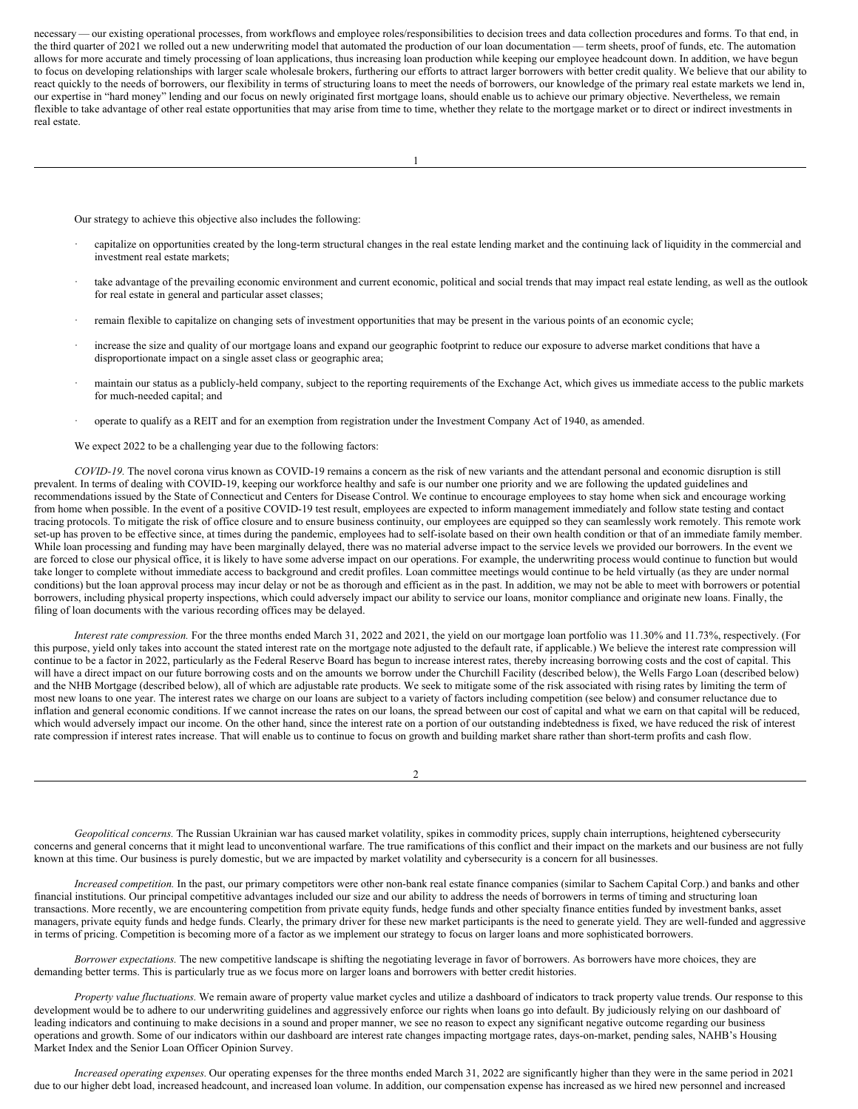necessary — our existing operational processes, from workflows and employee roles/responsibilities to decision trees and data collection procedures and forms. To that end, in the third quarter of 2021 we rolled out a new underwriting model that automated the production of our loan documentation — term sheets, proof of funds, etc. The automation allows for more accurate and timely processing of loan applications, thus increasing loan production while keeping our employee headcount down. In addition, we have begun to focus on developing relationships with larger scale wholesale brokers, furthering our efforts to attract larger borrowers with better credit quality. We believe that our ability to react quickly to the needs of borrowers, our flexibility in terms of structuring loans to meet the needs of borrowers, our knowledge of the primary real estate markets we lend in, our expertise in "hard money" lending and our focus on newly originated first mortgage loans, should enable us to achieve our primary objective. Nevertheless, we remain flexible to take advantage of other real estate opportunities that may arise from time to time, whether they relate to the mortgage market or to direct or indirect investments in real estate.

Our strategy to achieve this objective also includes the following:

- · capitalize on opportunities created by the long-term structural changes in the real estate lending market and the continuing lack of liquidity in the commercial and investment real estate markets;
- take advantage of the prevailing economic environment and current economic, political and social trends that may impact real estate lending, as well as the outlook for real estate in general and particular asset classes;
- · remain flexible to capitalize on changing sets of investment opportunities that may be present in the various points of an economic cycle;
- increase the size and quality of our mortgage loans and expand our geographic footprint to reduce our exposure to adverse market conditions that have a disproportionate impact on a single asset class or geographic area;
- maintain our status as a publicly-held company, subject to the reporting requirements of the Exchange Act, which gives us immediate access to the public markets for much-needed capital; and
- · operate to qualify as a REIT and for an exemption from registration under the Investment Company Act of 1940, as amended.

We expect 2022 to be a challenging year due to the following factors:

*COVID-19.* The novel corona virus known as COVID-19 remains a concern as the risk of new variants and the attendant personal and economic disruption is still prevalent. In terms of dealing with COVID-19, keeping our workforce healthy and safe is our number one priority and we are following the updated guidelines and recommendations issued by the State of Connecticut and Centers for Disease Control. We continue to encourage employees to stay home when sick and encourage working from home when possible. In the event of a positive COVID-19 test result, employees are expected to inform management immediately and follow state testing and contact tracing protocols. To mitigate the risk of office closure and to ensure business continuity, our employees are equipped so they can seamlessly work remotely. This remote work set-up has proven to be effective since, at times during the pandemic, employees had to self-isolate based on their own health condition or that of an immediate family member. While loan processing and funding may have been marginally delayed, there was no material adverse impact to the service levels we provided our borrowers. In the event we are forced to close our physical office, it is likely to have some adverse impact on our operations. For example, the underwriting process would continue to function but would take longer to complete without immediate access to background and credit profiles. Loan committee meetings would continue to be held virtually (as they are under normal conditions) but the loan approval process may incur delay or not be as thorough and efficient as in the past. In addition, we may not be able to meet with borrowers or potential borrowers, including physical property inspections, which could adversely impact our ability to service our loans, monitor compliance and originate new loans. Finally, the filing of loan documents with the various recording offices may be delayed.

*Interest rate compression.* For the three months ended March 31, 2022 and 2021, the yield on our mortgage loan portfolio was 11.30% and 11.73%, respectively. (For this purpose, yield only takes into account the stated interest rate on the mortgage note adjusted to the default rate, if applicable.) We believe the interest rate compression will continue to be a factor in 2022, particularly as the Federal Reserve Board has begun to increase interest rates, thereby increasing borrowing costs and the cost of capital. This will have a direct impact on our future borrowing costs and on the amounts we borrow under the Churchill Facility (described below), the Wells Fargo Loan (described below) and the NHB Mortgage (described below), all of which are adjustable rate products. We seek to mitigate some of the risk associated with rising rates by limiting the term of most new loans to one year. The interest rates we charge on our loans are subject to a variety of factors including competition (see below) and consumer reluctance due to inflation and general economic conditions. If we cannot increase the rates on our loans, the spread between our cost of capital and what we earn on that capital will be reduced, which would adversely impact our income. On the other hand, since the interest rate on a portion of our outstanding indebtedness is fixed, we have reduced the risk of interest rate compression if interest rates increase. That will enable us to continue to focus on growth and building market share rather than short-term profits and cash flow.

 $\mathfrak{D}$ 

*Geopolitical concerns.* The Russian Ukrainian war has caused market volatility, spikes in commodity prices, supply chain interruptions, heightened cybersecurity concerns and general concerns that it might lead to unconventional warfare. The true ramifications of this conflict and their impact on the markets and our business are not fully known at this time. Our business is purely domestic, but we are impacted by market volatility and cybersecurity is a concern for all businesses.

*Increased competition*. In the past, our primary competitors were other non-bank real estate finance companies (similar to Sachem Capital Corp.) and banks and other financial institutions. Our principal competitive advantages included our size and our ability to address the needs of borrowers in terms of timing and structuring loan transactions. More recently, we are encountering competition from private equity funds, hedge funds and other specialty finance entities funded by investment banks, asset managers, private equity funds and hedge funds. Clearly, the primary driver for these new market participants is the need to generate yield. They are well-funded and aggressive in terms of pricing. Competition is becoming more of a factor as we implement our strategy to focus on larger loans and more sophisticated borrowers.

*Borrower expectations.* The new competitive landscape is shifting the negotiating leverage in favor of borrowers. As borrowers have more choices, they are demanding better terms. This is particularly true as we focus more on larger loans and borrowers with better credit histories.

*Property value fluctuations.* We remain aware of property value market cycles and utilize a dashboard of indicators to track property value trends. Our response to this development would be to adhere to our underwriting guidelines and aggressively enforce our rights when loans go into default. By judiciously relying on our dashboard of leading indicators and continuing to make decisions in a sound and proper manner, we see no reason to expect any significant negative outcome regarding our business operations and growth. Some of our indicators within our dashboard are interest rate changes impacting mortgage rates, days-on-market, pending sales, NAHB's Housing Market Index and the Senior Loan Officer Opinion Survey.

*Increased operating expenses.* Our operating expenses for the three months ended March 31, 2022 are significantly higher than they were in the same period in 2021 due to our higher debt load, increased headcount, and increased loan volume. In addition, our compensation expense has increased as we hired new personnel and increased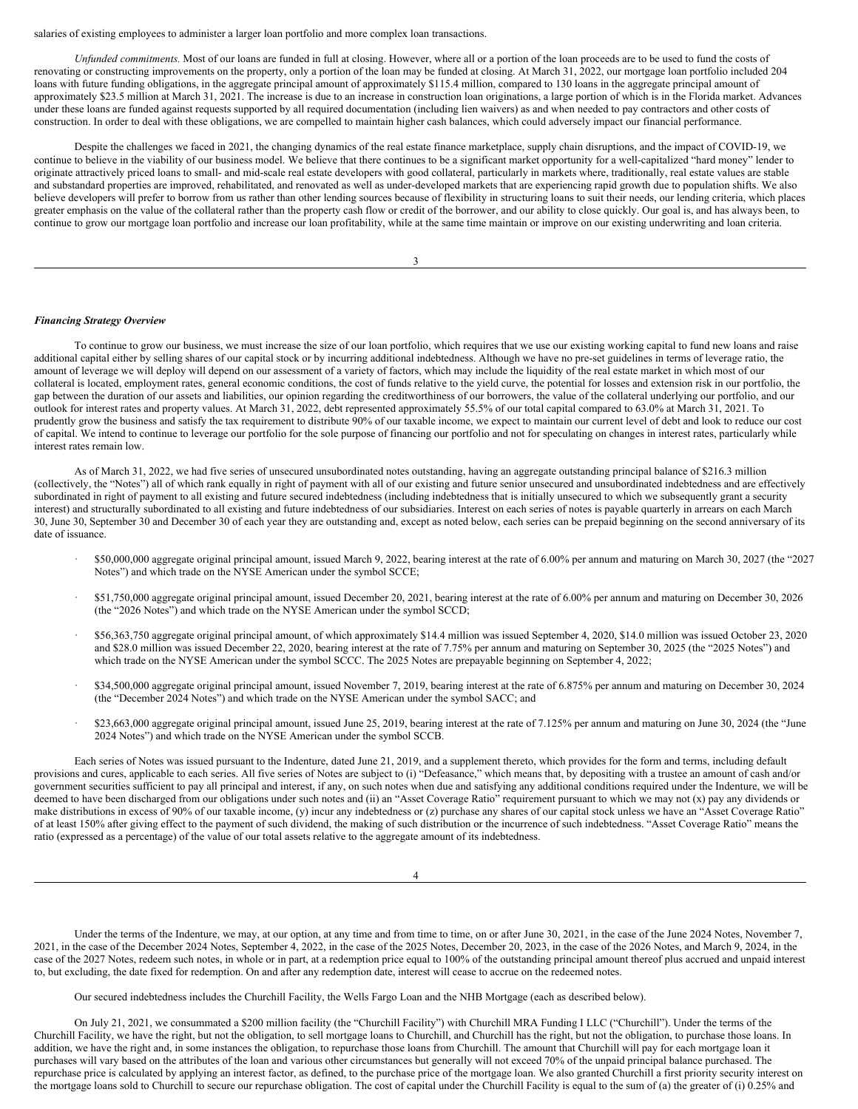## salaries of existing employees to administer a larger loan portfolio and more complex loan transactions.

*Unfunded commitments.* Most of our loans are funded in full at closing. However, where all or a portion of the loan proceeds are to be used to fund the costs of renovating or constructing improvements on the property, only a portion of the loan may be funded at closing. At March 31, 2022, our mortgage loan portfolio included 204 loans with future funding obligations, in the aggregate principal amount of approximately \$115.4 million, compared to 130 loans in the aggregate principal amount of approximately \$23.5 million at March 31, 2021. The increase is due to an increase in construction loan originations, a large portion of which is in the Florida market. Advances under these loans are funded against requests supported by all required documentation (including lien waivers) as and when needed to pay contractors and other costs of construction. In order to deal with these obligations, we are compelled to maintain higher cash balances, which could adversely impact our financial performance.

Despite the challenges we faced in 2021, the changing dynamics of the real estate finance marketplace, supply chain disruptions, and the impact of COVID-19, we continue to believe in the viability of our business model. We believe that there continues to be a significant market opportunity for a well-capitalized "hard money" lender to originate attractively priced loans to small- and mid-scale real estate developers with good collateral, particularly in markets where, traditionally, real estate values are stable and substandard properties are improved, rehabilitated, and renovated as well as under-developed markets that are experiencing rapid growth due to population shifts. We also believe developers will prefer to borrow from us rather than other lending sources because of flexibility in structuring loans to suit their needs, our lending criteria, which places greater emphasis on the value of the collateral rather than the property cash flow or credit of the borrower, and our ability to close quickly. Our goal is, and has always been, to continue to grow our mortgage loan portfolio and increase our loan profitability, while at the same time maintain or improve on our existing underwriting and loan criteria.

#### *Financing Strategy Overview*

To continue to grow our business, we must increase the size of our loan portfolio, which requires that we use our existing working capital to fund new loans and raise additional capital either by selling shares of our capital stock or by incurring additional indebtedness. Although we have no pre-set guidelines in terms of leverage ratio, the amount of leverage we will deploy will depend on our assessment of a variety of factors, which may include the liquidity of the real estate market in which most of our collateral is located, employment rates, general economic conditions, the cost of funds relative to the yield curve, the potential for losses and extension risk in our portfolio, the gap between the duration of our assets and liabilities, our opinion regarding the creditworthiness of our borrowers, the value of the collateral underlying our portfolio, and our outlook for interest rates and property values. At March 31, 2022, debt represented approximately 55.5% of our total capital compared to 63.0% at March 31, 2021. To prudently grow the business and satisfy the tax requirement to distribute 90% of our taxable income, we expect to maintain our current level of debt and look to reduce our cost of capital. We intend to continue to leverage our portfolio for the sole purpose of financing our portfolio and not for speculating on changes in interest rates, particularly while interest rates remain low.

As of March 31, 2022, we had five series of unsecured unsubordinated notes outstanding, having an aggregate outstanding principal balance of \$216.3 million (collectively, the "Notes") all of which rank equally in right of payment with all of our existing and future senior unsecured and unsubordinated indebtedness and are effectively subordinated in right of payment to all existing and future secured indebtedness (including indebtedness that is initially unsecured to which we subsequently grant a security interest) and structurally subordinated to all existing and future indebtedness of our subsidiaries. Interest on each series of notes is payable quarterly in arrears on each March 30, June 30, September 30 and December 30 of each year they are outstanding and, except as noted below, each series can be prepaid beginning on the second anniversary of its date of issuance.

- · \$50,000,000 aggregate original principal amount, issued March 9, 2022, bearing interest at the rate of 6.00% per annum and maturing on March 30, 2027 (the "2027 Notes") and which trade on the NYSE American under the symbol SCCE;
- · \$51,750,000 aggregate original principal amount, issued December 20, 2021, bearing interest at the rate of 6.00% per annum and maturing on December 30, 2026 (the "2026 Notes") and which trade on the NYSE American under the symbol SCCD;
- · \$56,363,750 aggregate original principal amount, of which approximately \$14.4 million was issued September 4, 2020, \$14.0 million was issued October 23, 2020 and \$28.0 million was issued December 22, 2020, bearing interest at the rate of 7.75% per annum and maturing on September 30, 2025 (the "2025 Notes") and which trade on the NYSE American under the symbol SCCC. The 2025 Notes are prepayable beginning on September 4, 2022;
- · \$34,500,000 aggregate original principal amount, issued November 7, 2019, bearing interest at the rate of 6.875% per annum and maturing on December 30, 2024 (the "December 2024 Notes") and which trade on the NYSE American under the symbol SACC; and
- \$23,663,000 aggregate original principal amount, issued June 25, 2019, bearing interest at the rate of 7.125% per annum and maturing on June 30, 2024 (the "June 2024 Notes") and which trade on the NYSE American under the symbol SCCB.

Each series of Notes was issued pursuant to the Indenture, dated June 21, 2019, and a supplement thereto, which provides for the form and terms, including default provisions and cures, applicable to each series. All five series of Notes are subject to (i) "Defeasance," which means that, by depositing with a trustee an amount of cash and/or government securities sufficient to pay all principal and interest, if any, on such notes when due and satisfying any additional conditions required under the Indenture, we will be deemed to have been discharged from our obligations under such notes and (ii) an "Asset Coverage Ratio" requirement pursuant to which we may not (x) pay any dividends or make distributions in excess of 90% of our taxable income, (y) incur any indebtedness or (z) purchase any shares of our capital stock unless we have an "Asset Coverage Ratio" of at least 150% after giving effect to the payment of such dividend, the making of such distribution or the incurrence of such indebtedness. "Asset Coverage Ratio" means the ratio (expressed as a percentage) of the value of our total assets relative to the aggregate amount of its indebtedness.

4

Under the terms of the Indenture, we may, at our option, at any time and from time to time, on or after June 30, 2021, in the case of the June 2024 Notes, November 7, 2021, in the case of the December 2024 Notes, September 4, 2022, in the case of the 2025 Notes, December 20, 2023, in the case of the 2026 Notes, and March 9, 2024, in the case of the 2027 Notes, redeem such notes, in whole or in part, at a redemption price equal to 100% of the outstanding principal amount thereof plus accrued and unpaid interest to, but excluding, the date fixed for redemption. On and after any redemption date, interest will cease to accrue on the redeemed notes.

Our secured indebtedness includes the Churchill Facility, the Wells Fargo Loan and the NHB Mortgage (each as described below).

On July 21, 2021, we consummated a \$200 million facility (the "Churchill Facility") with Churchill MRA Funding I LLC ("Churchill"). Under the terms of the Churchill Facility, we have the right, but not the obligation, to sell mortgage loans to Churchill, and Churchill has the right, but not the obligation, to purchase those loans. In addition, we have the right and, in some instances the obligation, to repurchase those loans from Churchill. The amount that Churchill will pay for each mortgage loan it purchases will vary based on the attributes of the loan and various other circumstances but generally will not exceed 70% of the unpaid principal balance purchased. The repurchase price is calculated by applying an interest factor, as defined, to the purchase price of the mortgage loan. We also granted Churchill a first priority security interest on the mortgage loans sold to Churchill to secure our repurchase obligation. The cost of capital under the Churchill Facility is equal to the sum of (a) the greater of (i) 0.25% and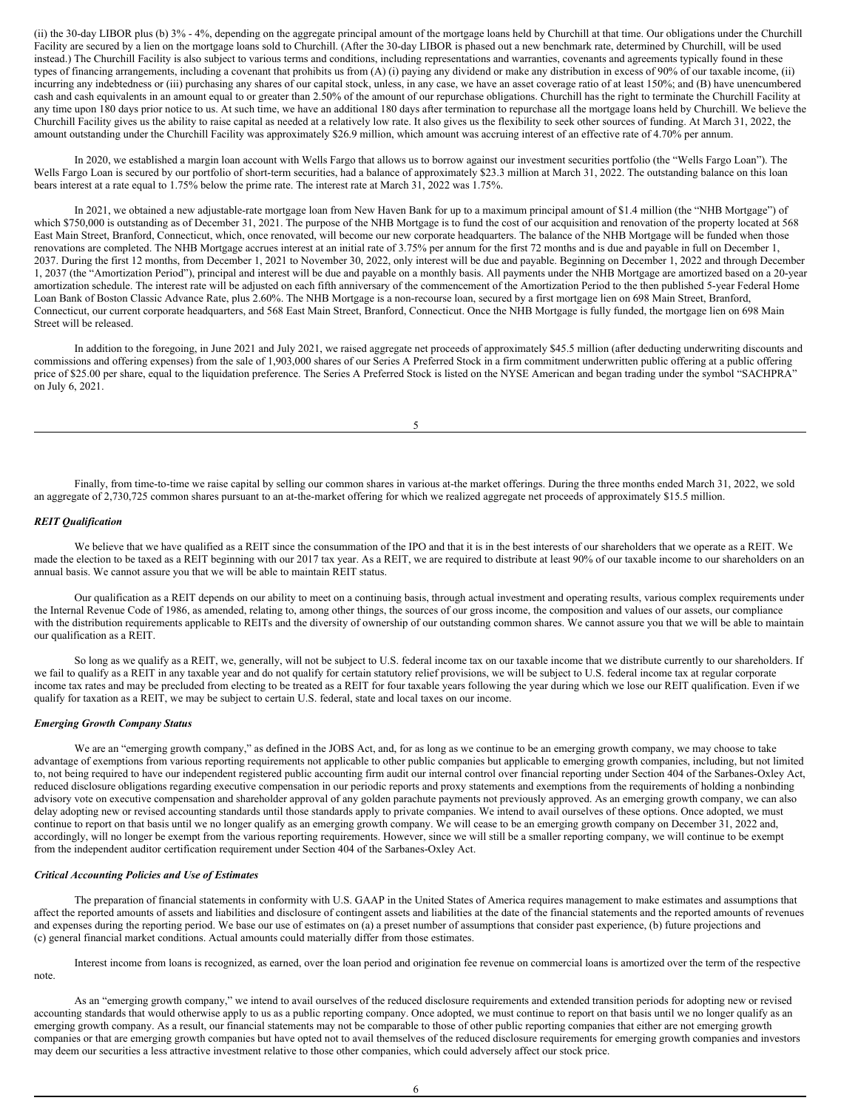(ii) the 30-day LIBOR plus (b) 3% - 4%, depending on the aggregate principal amount of the mortgage loans held by Churchill at that time. Our obligations under the Churchill Facility are secured by a lien on the mortgage loans sold to Churchill. (After the 30-day LIBOR is phased out a new benchmark rate, determined by Churchill, will be used instead.) The Churchill Facility is also subject to various terms and conditions, including representations and warranties, covenants and agreements typically found in these types of financing arrangements, including a covenant that prohibits us from (A) (i) paying any dividend or make any distribution in excess of 90% of our taxable income, (ii) incurring any indebtedness or (iii) purchasing any shares of our capital stock, unless, in any case, we have an asset coverage ratio of at least 150%; and (B) have unencumbered cash and cash equivalents in an amount equal to or greater than 2.50% of the amount of our repurchase obligations. Churchill has the right to terminate the Churchill Facility at any time upon 180 days prior notice to us. At such time, we have an additional 180 days after termination to repurchase all the mortgage loans held by Churchill. We believe the Churchill Facility gives us the ability to raise capital as needed at a relatively low rate. It also gives us the flexibility to seek other sources of funding. At March 31, 2022, the amount outstanding under the Churchill Facility was approximately \$26.9 million, which amount was accruing interest of an effective rate of 4.70% per annum.

In 2020, we established a margin loan account with Wells Fargo that allows us to borrow against our investment securities portfolio (the "Wells Fargo Loan"). The Wells Fargo Loan is secured by our portfolio of short-term securities, had a balance of approximately \$23.3 million at March 31, 2022. The outstanding balance on this loan bears interest at a rate equal to 1.75% below the prime rate. The interest rate at March 31, 2022 was 1.75%.

In 2021, we obtained a new adjustable-rate mortgage loan from New Haven Bank for up to a maximum principal amount of \$1.4 million (the "NHB Mortgage") of which \$750,000 is outstanding as of December 31, 2021. The purpose of the NHB Mortgage is to fund the cost of our acquisition and renovation of the property located at 568 East Main Street, Branford, Connecticut, which, once renovated, will become our new corporate headquarters. The balance of the NHB Mortgage will be funded when those renovations are completed. The NHB Mortgage accrues interest at an initial rate of 3.75% per annum for the first 72 months and is due and payable in full on December 1, 2037. During the first 12 months, from December 1, 2021 to November 30, 2022, only interest will be due and payable. Beginning on December 1, 2022 and through December 1, 2037 (the "Amortization Period"), principal and interest will be due and payable on a monthly basis. All payments under the NHB Mortgage are amortized based on a 20-year amortization schedule. The interest rate will be adjusted on each fifth anniversary of the commencement of the Amortization Period to the then published 5-year Federal Home Loan Bank of Boston Classic Advance Rate, plus 2.60%. The NHB Mortgage is a non-recourse loan, secured by a first mortgage lien on 698 Main Street, Branford, Connecticut, our current corporate headquarters, and 568 East Main Street, Branford, Connecticut. Once the NHB Mortgage is fully funded, the mortgage lien on 698 Main Street will be released.

In addition to the foregoing, in June 2021 and July 2021, we raised aggregate net proceeds of approximately \$45.5 million (after deducting underwriting discounts and commissions and offering expenses) from the sale of 1,903,000 shares of our Series A Preferred Stock in a firm commitment underwritten public offering at a public offering price of \$25.00 per share, equal to the liquidation preference. The Series A Preferred Stock is listed on the NYSE American and began trading under the symbol "SACHPRA" on July 6, 2021.

5

Finally, from time-to-time we raise capital by selling our common shares in various at-the market offerings. During the three months ended March 31, 2022, we sold an aggregate of 2,730,725 common shares pursuant to an at-the-market offering for which we realized aggregate net proceeds of approximately \$15.5 million.

## *REIT Qualification*

We believe that we have qualified as a REIT since the consummation of the IPO and that it is in the best interests of our shareholders that we operate as a REIT. We made the election to be taxed as a REIT beginning with our 2017 tax year. As a REIT, we are required to distribute at least 90% of our taxable income to our shareholders on an annual basis. We cannot assure you that we will be able to maintain REIT status.

Our qualification as a REIT depends on our ability to meet on a continuing basis, through actual investment and operating results, various complex requirements under the Internal Revenue Code of 1986, as amended, relating to, among other things, the sources of our gross income, the composition and values of our assets, our compliance with the distribution requirements applicable to REITs and the diversity of ownership of our outstanding common shares. We cannot assure you that we will be able to maintain our qualification as a REIT.

So long as we qualify as a REIT, we, generally, will not be subject to U.S. federal income tax on our taxable income that we distribute currently to our shareholders. If we fail to qualify as a REIT in any taxable year and do not qualify for certain statutory relief provisions, we will be subject to U.S. federal income tax at regular corporate income tax rates and may be precluded from electing to be treated as a REIT for four taxable years following the year during which we lose our REIT qualification. Even if we qualify for taxation as a REIT, we may be subject to certain U.S. federal, state and local taxes on our income.

#### *Emerging Growth Company Status*

We are an "emerging growth company," as defined in the JOBS Act, and, for as long as we continue to be an emerging growth company, we may choose to take advantage of exemptions from various reporting requirements not applicable to other public companies but applicable to emerging growth companies, including, but not limited to, not being required to have our independent registered public accounting firm audit our internal control over financial reporting under Section 404 of the Sarbanes-Oxley Act, reduced disclosure obligations regarding executive compensation in our periodic reports and proxy statements and exemptions from the requirements of holding a nonbinding advisory vote on executive compensation and shareholder approval of any golden parachute payments not previously approved. As an emerging growth company, we can also delay adopting new or revised accounting standards until those standards apply to private companies. We intend to avail ourselves of these options. Once adopted, we must continue to report on that basis until we no longer qualify as an emerging growth company. We will cease to be an emerging growth company on December 31, 2022 and, accordingly, will no longer be exempt from the various reporting requirements. However, since we will still be a smaller reporting company, we will continue to be exempt from the independent auditor certification requirement under Section 404 of the Sarbanes-Oxley Act.

## *Critical Accounting Policies and Use of Estimates*

The preparation of financial statements in conformity with U.S. GAAP in the United States of America requires management to make estimates and assumptions that affect the reported amounts of assets and liabilities and disclosure of contingent assets and liabilities at the date of the financial statements and the reported amounts of revenues and expenses during the reporting period. We base our use of estimates on (a) a preset number of assumptions that consider past experience, (b) future projections and (c) general financial market conditions. Actual amounts could materially differ from those estimates.

Interest income from loans is recognized, as earned, over the loan period and origination fee revenue on commercial loans is amortized over the term of the respective note.

As an "emerging growth company," we intend to avail ourselves of the reduced disclosure requirements and extended transition periods for adopting new or revised accounting standards that would otherwise apply to us as a public reporting company. Once adopted, we must continue to report on that basis until we no longer qualify as an emerging growth company. As a result, our financial statements may not be comparable to those of other public reporting companies that either are not emerging growth companies or that are emerging growth companies but have opted not to avail themselves of the reduced disclosure requirements for emerging growth companies and investors may deem our securities a less attractive investment relative to those other companies, which could adversely affect our stock price.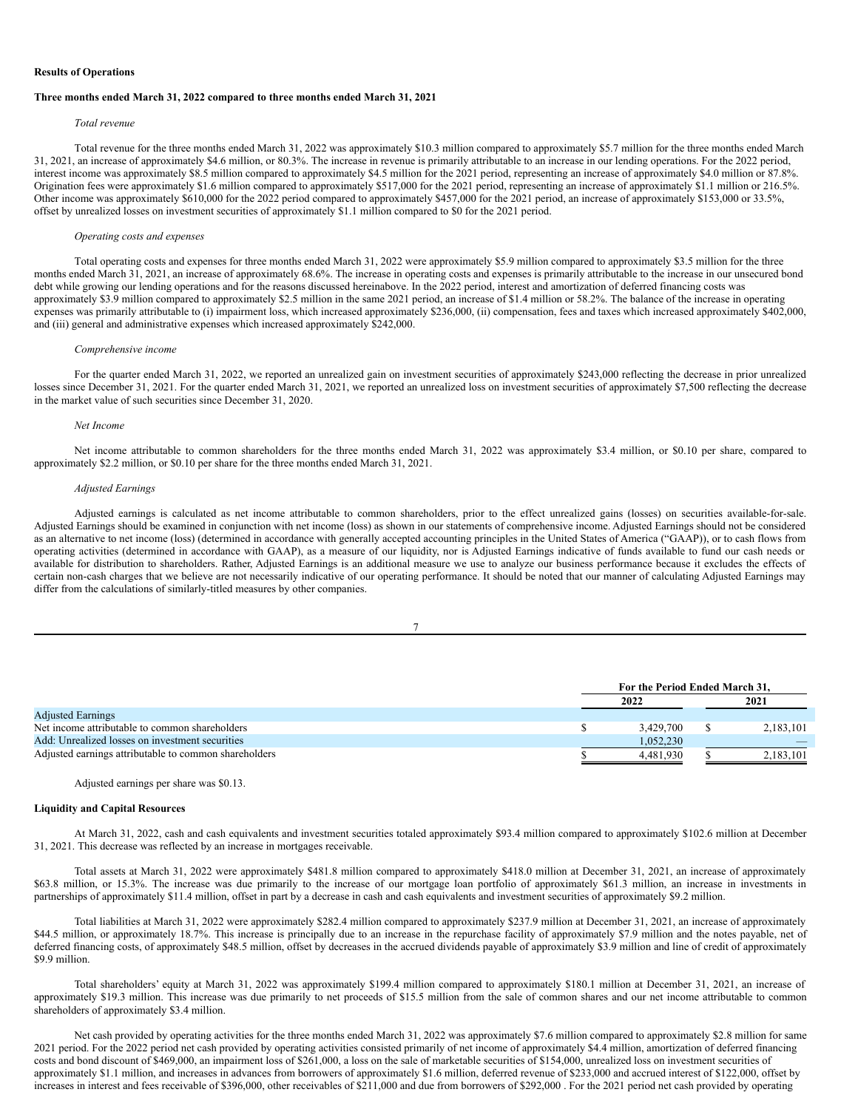#### **Results of Operations**

#### **Three months ended March 31, 2022 compared to three months ended March 31, 2021**

## *Total revenue*

Total revenue for the three months ended March 31, 2022 was approximately \$10.3 million compared to approximately \$5.7 million for the three months ended March 31, 2021, an increase of approximately \$4.6 million, or 80.3%. The increase in revenue is primarily attributable to an increase in our lending operations. For the 2022 period, interest income was approximately \$8.5 million compared to approximately \$4.5 million for the 2021 period, representing an increase of approximately \$4.0 million or 87.8%. Origination fees were approximately \$1.6 million compared to approximately \$517,000 for the 2021 period, representing an increase of approximately \$1.1 million or 216.5%. Other income was approximately \$610,000 for the 2022 period compared to approximately \$457,000 for the 2021 period, an increase of approximately \$153,000 or 33.5%, offset by unrealized losses on investment securities of approximately \$1.1 million compared to \$0 for the 2021 period.

#### *Operating costs and expenses*

Total operating costs and expenses for three months ended March 31, 2022 were approximately \$5.9 million compared to approximately \$3.5 million for the three months ended March 31, 2021, an increase of approximately 68.6%. The increase in operating costs and expenses is primarily attributable to the increase in our unsecured bond debt while growing our lending operations and for the reasons discussed hereinabove. In the 2022 period, interest and amortization of deferred financing costs was approximately \$3.9 million compared to approximately \$2.5 million in the same 2021 period, an increase of \$1.4 million or 58.2%. The balance of the increase in operating expenses was primarily attributable to (i) impairment loss, which increased approximately \$236,000, (ii) compensation, fees and taxes which increased approximately \$402,000, and (iii) general and administrative expenses which increased approximately \$242,000.

#### *Comprehensive income*

For the quarter ended March 31, 2022, we reported an unrealized gain on investment securities of approximately \$243,000 reflecting the decrease in prior unrealized losses since December 31, 2021. For the quarter ended March 31, 2021, we reported an unrealized loss on investment securities of approximately \$7,500 reflecting the decrease in the market value of such securities since December 31, 2020.

## *Net Income*

Net income attributable to common shareholders for the three months ended March 31, 2022 was approximately \$3.4 million, or \$0.10 per share, compared to approximately \$2.2 million, or \$0.10 per share for the three months ended March 31, 2021.

#### *Adjusted Earnings*

Adjusted earnings is calculated as net income attributable to common shareholders, prior to the effect unrealized gains (losses) on securities available-for-sale. Adjusted Earnings should be examined in conjunction with net income (loss) as shown in our statements of comprehensive income. Adjusted Earnings should not be considered as an alternative to net income (loss) (determined in accordance with generally accepted accounting principles in the United States of America ("GAAP)), or to cash flows from operating activities (determined in accordance with GAAP), as a measure of our liquidity, nor is Adjusted Earnings indicative of funds available to fund our cash needs or available for distribution to shareholders. Rather, Adjusted Earnings is an additional measure we use to analyze our business performance because it excludes the effects of certain non-cash charges that we believe are not necessarily indicative of our operating performance. It should be noted that our manner of calculating Adjusted Earnings may differ from the calculations of similarly-titled measures by other companies.

| I |  |  |  |
|---|--|--|--|

|                                                       | For the Period Ended March 31. |  |           |  |  |
|-------------------------------------------------------|--------------------------------|--|-----------|--|--|
|                                                       | 2022                           |  | 2021      |  |  |
| <b>Adjusted Earnings</b>                              |                                |  |           |  |  |
| Net income attributable to common shareholders        | 3.429.700                      |  | 2.183.101 |  |  |
| Add: Unrealized losses on investment securities       | 1.052.230                      |  |           |  |  |
| Adjusted earnings attributable to common shareholders | 4.481.930                      |  | 2,183,101 |  |  |

Adjusted earnings per share was \$0.13.

# **Liquidity and Capital Resources**

At March 31, 2022, cash and cash equivalents and investment securities totaled approximately \$93.4 million compared to approximately \$102.6 million at December 31, 2021. This decrease was reflected by an increase in mortgages receivable.

Total assets at March 31, 2022 were approximately \$481.8 million compared to approximately \$418.0 million at December 31, 2021, an increase of approximately \$63.8 million, or 15.3%. The increase was due primarily to the increase of our mortgage loan portfolio of approximately \$61.3 million, an increase in investments in partnerships of approximately \$11.4 million, offset in part by a decrease in cash and cash equivalents and investment securities of approximately \$9.2 million.

Total liabilities at March 31, 2022 were approximately \$282.4 million compared to approximately \$237.9 million at December 31, 2021, an increase of approximately \$44.5 million, or approximately 18.7%. This increase is principally due to an increase in the repurchase facility of approximately \$7.9 million and the notes payable, net of deferred financing costs, of approximately \$48.5 million, offset by decreases in the accrued dividends payable of approximately \$3.9 million and line of credit of approximately \$9.9 million.

Total shareholders' equity at March 31, 2022 was approximately \$199.4 million compared to approximately \$180.1 million at December 31, 2021, an increase of approximately \$19.3 million. This increase was due primarily to net proceeds of \$15.5 million from the sale of common shares and our net income attributable to common shareholders of approximately \$3.4 million.

Net cash provided by operating activities for the three months ended March 31, 2022 was approximately \$7.6 million compared to approximately \$2.8 million for same 2021 period. For the 2022 period net cash provided by operating activities consisted primarily of net income of approximately \$4.4 million, amortization of deferred financing costs and bond discount of \$469,000, an impairment loss of \$261,000, a loss on the sale of marketable securities of \$154,000, unrealized loss on investment securities of approximately \$1.1 million, and increases in advances from borrowers of approximately \$1.6 million, deferred revenue of \$233,000 and accrued interest of \$122,000, offset by increases in interest and fees receivable of \$396,000, other receivables of \$211,000 and due from borrowers of \$292,000 . For the 2021 period net cash provided by operating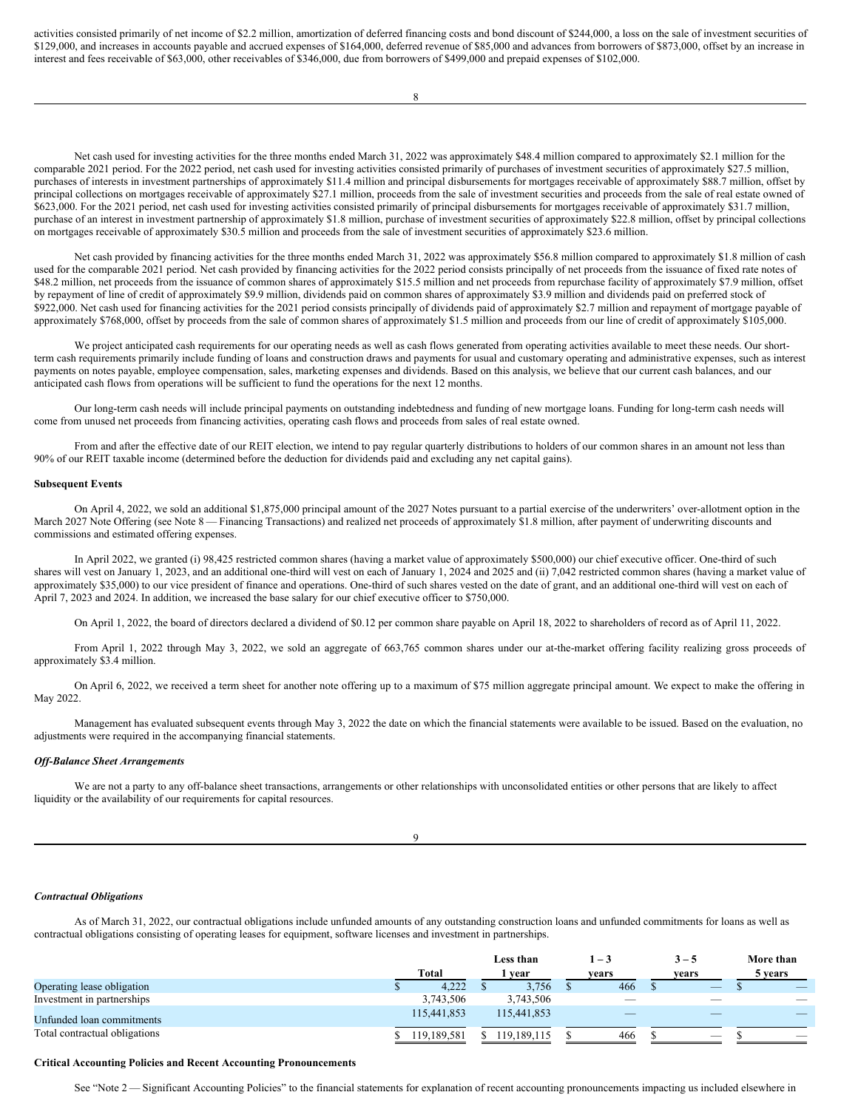activities consisted primarily of net income of \$2.2 million, amortization of deferred financing costs and bond discount of \$244,000, a loss on the sale of investment securities of \$129,000, and increases in accounts payable and accrued expenses of \$164,000, deferred revenue of \$85,000 and advances from borrowers of \$873,000, offset by an increase in interest and fees receivable of \$63,000, other receivables of \$346,000, due from borrowers of \$499,000 and prepaid expenses of \$102,000.

8

Net cash used for investing activities for the three months ended March 31, 2022 was approximately \$48.4 million compared to approximately \$2.1 million for the comparable 2021 period. For the 2022 period, net cash used for investing activities consisted primarily of purchases of investment securities of approximately \$27.5 million, purchases of interests in investment partnerships of approximately \$11.4 million and principal disbursements for mortgages receivable of approximately \$88.7 million, offset by principal collections on mortgages receivable of approximately \$27.1 million, proceeds from the sale of investment securities and proceeds from the sale of real estate owned of \$623,000. For the 2021 period, net cash used for investing activities consisted primarily of principal disbursements for mortgages receivable of approximately \$31.7 million, purchase of an interest in investment partnership of approximately \$1.8 million, purchase of investment securities of approximately \$22.8 million, offset by principal collections on mortgages receivable of approximately \$30.5 million and proceeds from the sale of investment securities of approximately \$23.6 million.

Net cash provided by financing activities for the three months ended March 31, 2022 was approximately \$56.8 million compared to approximately \$1.8 million of cash used for the comparable 2021 period. Net cash provided by financing activities for the 2022 period consists principally of net proceeds from the issuance of fixed rate notes of \$48.2 million, net proceeds from the issuance of common shares of approximately \$15.5 million and net proceeds from repurchase facility of approximately \$7.9 million, offset by repayment of line of credit of approximately \$9.9 million, dividends paid on common shares of approximately \$3.9 million and dividends paid on preferred stock of \$922,000. Net cash used for financing activities for the 2021 period consists principally of dividends paid of approximately \$2.7 million and repayment of mortgage payable of approximately \$768,000, offset by proceeds from the sale of common shares of approximately \$1.5 million and proceeds from our line of credit of approximately \$105,000.

We project anticipated cash requirements for our operating needs as well as cash flows generated from operating activities available to meet these needs. Our shortterm cash requirements primarily include funding of loans and construction draws and payments for usual and customary operating and administrative expenses, such as interest payments on notes payable, employee compensation, sales, marketing expenses and dividends. Based on this analysis, we believe that our current cash balances, and our anticipated cash flows from operations will be sufficient to fund the operations for the next 12 months.

Our long-term cash needs will include principal payments on outstanding indebtedness and funding of new mortgage loans. Funding for long-term cash needs will come from unused net proceeds from financing activities, operating cash flows and proceeds from sales of real estate owned.

From and after the effective date of our REIT election, we intend to pay regular quarterly distributions to holders of our common shares in an amount not less than 90% of our REIT taxable income (determined before the deduction for dividends paid and excluding any net capital gains).

## **Subsequent Events**

On April 4, 2022, we sold an additional \$1,875,000 principal amount of the 2027 Notes pursuant to a partial exercise of the underwriters' over-allotment option in the March 2027 Note Offering (see Note 8 — Financing Transactions) and realized net proceeds of approximately \$1.8 million, after payment of underwriting discounts and commissions and estimated offering expenses.

In April 2022, we granted (i) 98,425 restricted common shares (having a market value of approximately \$500,000) our chief executive officer. One-third of such shares will vest on January 1, 2023, and an additional one-third will vest on each of January 1, 2024 and 2025 and (ii) 7,042 restricted common shares (having a market value of approximately \$35,000) to our vice president of finance and operations. One-third of such shares vested on the date of grant, and an additional one-third will vest on each of April 7, 2023 and 2024. In addition, we increased the base salary for our chief executive officer to \$750,000.

On April 1, 2022, the board of directors declared a dividend of \$0.12 per common share payable on April 18, 2022 to shareholders of record as of April 11, 2022.

From April 1, 2022 through May 3, 2022, we sold an aggregate of 663,765 common shares under our at-the-market offering facility realizing gross proceeds of approximately \$3.4 million.

On April 6, 2022, we received a term sheet for another note offering up to a maximum of \$75 million aggregate principal amount. We expect to make the offering in May 2022.

Management has evaluated subsequent events through May 3, 2022 the date on which the financial statements were available to be issued. Based on the evaluation, no adjustments were required in the accompanying financial statements.

# *Of -Balance Sheet Arrangements*

We are not a party to any off-balance sheet transactions, arrangements or other relationships with unconsolidated entities or other persons that are likely to affect liquidity or the availability of our requirements for capital resources.

9

#### *Contractual Obligations*

As of March 31, 2022, our contractual obligations include unfunded amounts of any outstanding construction loans and unfunded commitments for loans as well as contractual obligations consisting of operating leases for equipment, software licenses and investment in partnerships.

|                               |             | Less than   | $1 - 3$ | $3 - 5$                  | More than                |
|-------------------------------|-------------|-------------|---------|--------------------------|--------------------------|
|                               | Total       | vear        | vears   | vears                    | 5 vears                  |
| Operating lease obligation    | 4,222       | 3,756       | 466     | $\overline{\phantom{a}}$ |                          |
| Investment in partnerships    | 3.743.506   | 3,743,506   | __      | $\overline{\phantom{a}}$ | $\overline{\phantom{a}}$ |
| Unfunded loan commitments     | 115,441,853 | 115,441,853 |         |                          |                          |
| Total contractual obligations | 119.189.581 | 119.189.115 | 466     | $\overline{\phantom{a}}$ | $\overline{\phantom{a}}$ |

## **Critical Accounting Policies and Recent Accounting Pronouncements**

See "Note 2 — Significant Accounting Policies" to the financial statements for explanation of recent accounting pronouncements impacting us included elsewhere in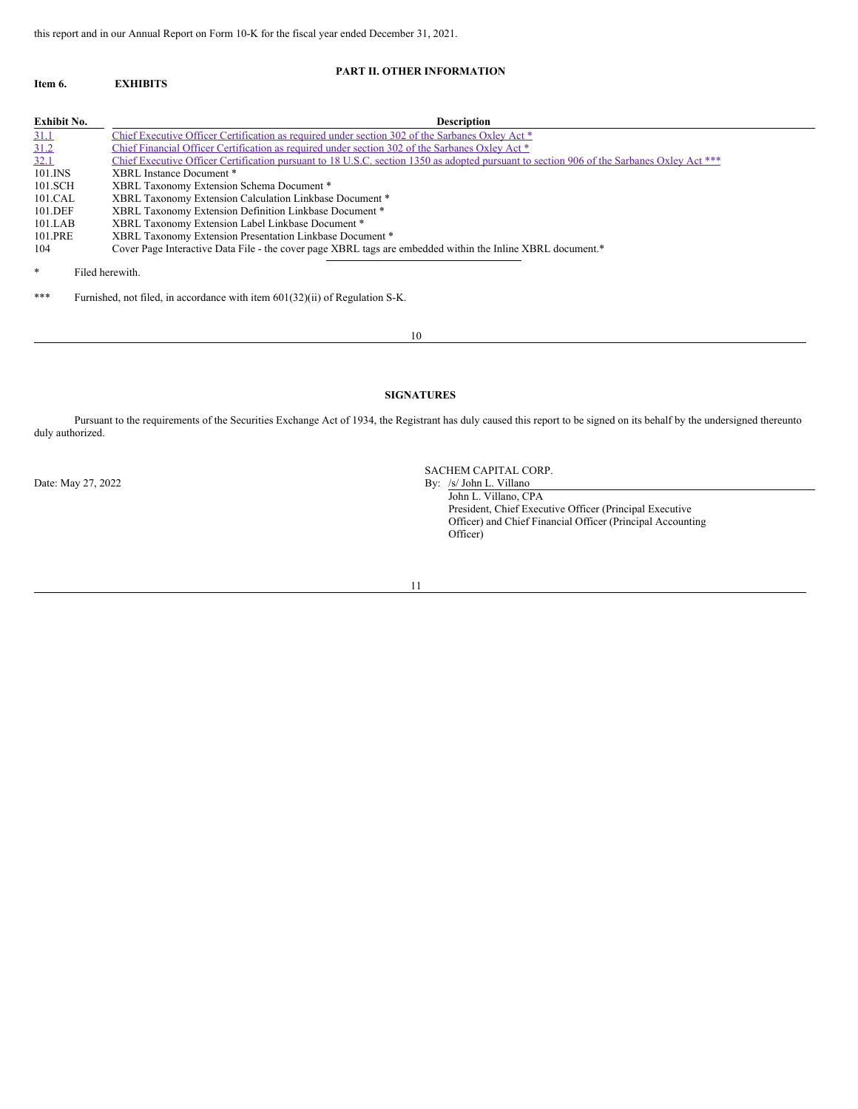this report and in our Annual Report on Form 10-K for the fiscal year ended December 31, 2021.

# **Item 6. EXHIBITS**

# **PART II. OTHER INFORMATION**

| <b>Exhibit No.</b> | <b>Description</b>                                                                                                                                   |
|--------------------|------------------------------------------------------------------------------------------------------------------------------------------------------|
| 31.1               | Chief Executive Officer Certification as required under section 302 of the Sarbanes Oxley Act *                                                      |
| 31.2               | Chief Financial Officer Certification as required under section 302 of the Sarbanes Oxley Act *                                                      |
| 32.1               | Chief Executive Officer Certification pursuant to 18 U.S.C. section 1350 as adopted pursuant to section 906 of the Sarbanes Oxley Act <sup>***</sup> |
| 101.INS            | XBRL Instance Document *                                                                                                                             |
| 101.SCH            | XBRL Taxonomy Extension Schema Document *                                                                                                            |
| 101.CAL            | XBRL Taxonomy Extension Calculation Linkbase Document *                                                                                              |
| 101.DEF            | XBRL Taxonomy Extension Definition Linkbase Document *                                                                                               |
| 101.LAB            | XBRL Taxonomy Extension Label Linkbase Document *                                                                                                    |
| 101.PRE            | XBRL Taxonomy Extension Presentation Linkbase Document *                                                                                             |
| 104                | Cover Page Interactive Data File - the cover page XBRL tags are embedded within the Inline XBRL document.*                                           |

\* Filed herewith.

\*\*\* Furnished, not filed, in accordance with item  $601(32)(ii)$  of Regulation S-K.

10

# **SIGNATURES**

Pursuant to the requirements of the Securities Exchange Act of 1934, the Registrant has duly caused this report to be signed on its behalf by the undersigned thereunto duly authorized.

Date: May 27, 2022 By: /s/ John L. Villano

SACHEM CAPITAL CORP.

John L. Villano, CPA President, Chief Executive Officer (Principal Executive Officer) and Chief Financial Officer (Principal Accounting Officer)

11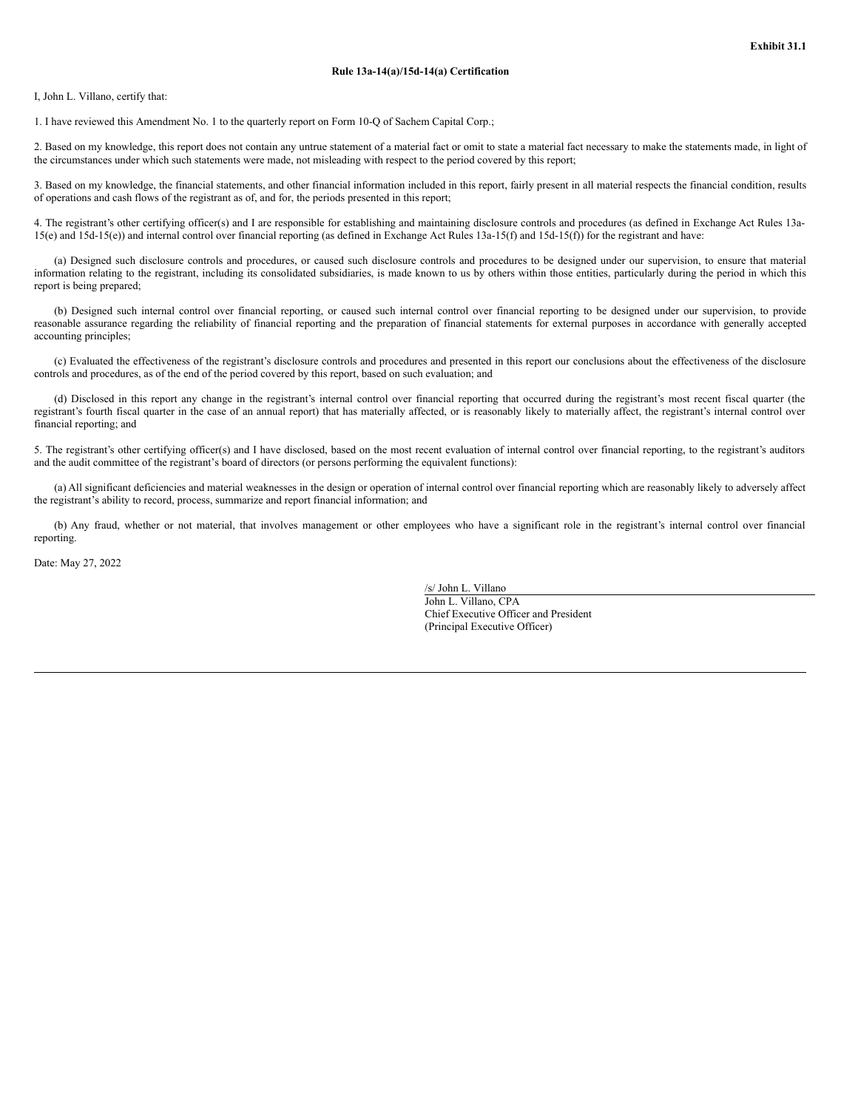## **Rule 13a-14(a)/15d-14(a) Certification**

### <span id="page-8-0"></span>I, John L. Villano, certify that:

1. I have reviewed this Amendment No. 1 to the quarterly report on Form 10-Q of Sachem Capital Corp.;

2. Based on my knowledge, this report does not contain any untrue statement of a material fact or omit to state a material fact necessary to make the statements made, in light of the circumstances under which such statements were made, not misleading with respect to the period covered by this report;

3. Based on my knowledge, the financial statements, and other financial information included in this report, fairly present in all material respects the financial condition, results of operations and cash flows of the registrant as of, and for, the periods presented in this report;

4. The registrant's other certifying officer(s) and I are responsible for establishing and maintaining disclosure controls and procedures (as defined in Exchange Act Rules 13a-15(e) and 15d-15(e)) and internal control over financial reporting (as defined in Exchange Act Rules 13a-15(f) and 15d-15(f)) for the registrant and have:

(a) Designed such disclosure controls and procedures, or caused such disclosure controls and procedures to be designed under our supervision, to ensure that material information relating to the registrant, including its consolidated subsidiaries, is made known to us by others within those entities, particularly during the period in which this report is being prepared;

(b) Designed such internal control over financial reporting, or caused such internal control over financial reporting to be designed under our supervision, to provide reasonable assurance regarding the reliability of financial reporting and the preparation of financial statements for external purposes in accordance with generally accepted accounting principles;

(c) Evaluated the effectiveness of the registrant's disclosure controls and procedures and presented in this report our conclusions about the effectiveness of the disclosure controls and procedures, as of the end of the period covered by this report, based on such evaluation; and

(d) Disclosed in this report any change in the registrant's internal control over financial reporting that occurred during the registrant's most recent fiscal quarter (the registrant's fourth fiscal quarter in the case of an annual report) that has materially affected, or is reasonably likely to materially affect, the registrant's internal control over financial reporting; and

5. The registrant's other certifying officer(s) and I have disclosed, based on the most recent evaluation of internal control over financial reporting, to the registrant's auditors and the audit committee of the registrant's board of directors (or persons performing the equivalent functions):

(a) All significant deficiencies and material weaknesses in the design or operation of internal control over financial reporting which are reasonably likely to adversely affect the registrant's ability to record, process, summarize and report financial information; and

(b) Any fraud, whether or not material, that involves management or other employees who have a significant role in the registrant's internal control over financial reporting.

Date: May 27, 2022

/s/ John L. Villano John L. Villano, CPA Chief Executive Officer and President (Principal Executive Officer)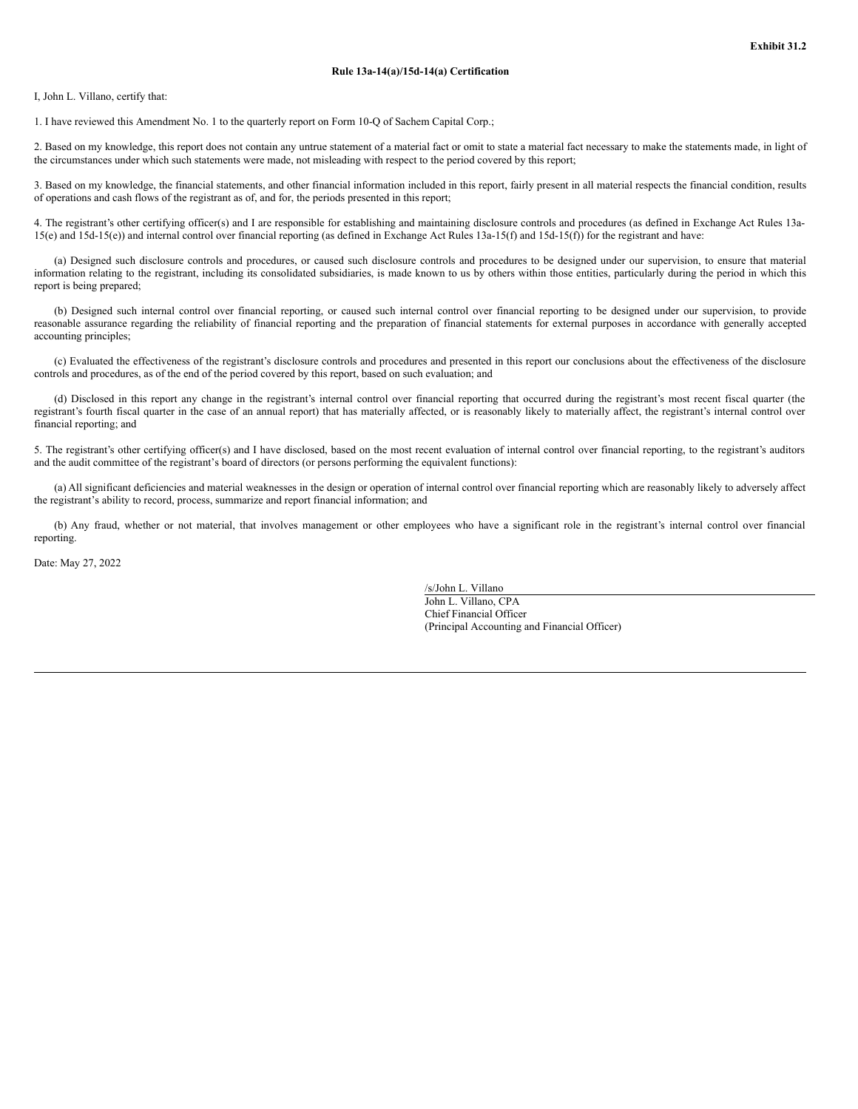## **Rule 13a-14(a)/15d-14(a) Certification**

### <span id="page-9-0"></span>I, John L. Villano, certify that:

1. I have reviewed this Amendment No. 1 to the quarterly report on Form 10-Q of Sachem Capital Corp.;

2. Based on my knowledge, this report does not contain any untrue statement of a material fact or omit to state a material fact necessary to make the statements made, in light of the circumstances under which such statements were made, not misleading with respect to the period covered by this report;

3. Based on my knowledge, the financial statements, and other financial information included in this report, fairly present in all material respects the financial condition, results of operations and cash flows of the registrant as of, and for, the periods presented in this report;

4. The registrant's other certifying officer(s) and I are responsible for establishing and maintaining disclosure controls and procedures (as defined in Exchange Act Rules 13a-15(e) and 15d-15(e)) and internal control over financial reporting (as defined in Exchange Act Rules 13a-15(f) and 15d-15(f)) for the registrant and have:

(a) Designed such disclosure controls and procedures, or caused such disclosure controls and procedures to be designed under our supervision, to ensure that material information relating to the registrant, including its consolidated subsidiaries, is made known to us by others within those entities, particularly during the period in which this report is being prepared;

(b) Designed such internal control over financial reporting, or caused such internal control over financial reporting to be designed under our supervision, to provide reasonable assurance regarding the reliability of financial reporting and the preparation of financial statements for external purposes in accordance with generally accepted accounting principles;

(c) Evaluated the effectiveness of the registrant's disclosure controls and procedures and presented in this report our conclusions about the effectiveness of the disclosure controls and procedures, as of the end of the period covered by this report, based on such evaluation; and

(d) Disclosed in this report any change in the registrant's internal control over financial reporting that occurred during the registrant's most recent fiscal quarter (the registrant's fourth fiscal quarter in the case of an annual report) that has materially affected, or is reasonably likely to materially affect, the registrant's internal control over financial reporting; and

5. The registrant's other certifying officer(s) and I have disclosed, based on the most recent evaluation of internal control over financial reporting, to the registrant's auditors and the audit committee of the registrant's board of directors (or persons performing the equivalent functions):

(a) All significant deficiencies and material weaknesses in the design or operation of internal control over financial reporting which are reasonably likely to adversely affect the registrant's ability to record, process, summarize and report financial information; and

(b) Any fraud, whether or not material, that involves management or other employees who have a significant role in the registrant's internal control over financial reporting.

Date: May 27, 2022

/s/John L. Villano John L. Villano, CPA Chief Financial Officer (Principal Accounting and Financial Officer)